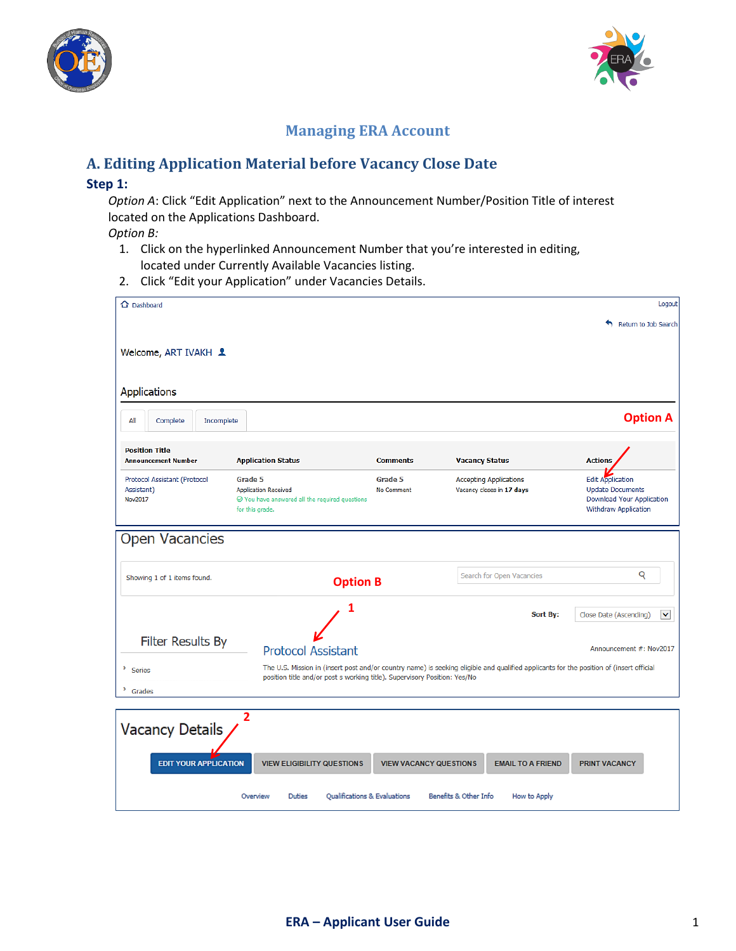



# **Managing ERA Account**

# **A. Editing Application Material before Vacancy Close Date**

### **Step 1:**

*Option A*: Click "Edit Application" next to the Announcement Number/Position Title of interest located on the Applications Dashboard.

### *Option B:*

- 1. Click on the hyperlinked Announcement Number that you're interested in editing, located under Currently Available Vacancies listing.
- 2. Click "Edit your Application" under Vacancies Details.

| △ Dashboard                   |                                                                                       |                               |                                                                                                                                         | Logout                                               |
|-------------------------------|---------------------------------------------------------------------------------------|-------------------------------|-----------------------------------------------------------------------------------------------------------------------------------------|------------------------------------------------------|
|                               |                                                                                       |                               |                                                                                                                                         | Return to Job Search                                 |
| Welcome, ART IVAKH &          |                                                                                       |                               |                                                                                                                                         |                                                      |
|                               |                                                                                       |                               |                                                                                                                                         |                                                      |
|                               |                                                                                       |                               |                                                                                                                                         |                                                      |
| Applications                  |                                                                                       |                               |                                                                                                                                         |                                                      |
| All<br>Complete<br>Incomplete |                                                                                       |                               |                                                                                                                                         | <b>Option A</b>                                      |
| <b>Position Title</b>         |                                                                                       |                               |                                                                                                                                         |                                                      |
| <b>Announcement Number</b>    | <b>Application Status</b>                                                             | <b>Comments</b>               | <b>Vacancy Status</b>                                                                                                                   | <b>Actions</b>                                       |
| Protocol Assistant (Protocol  | Grade 5                                                                               | Grade 5                       | <b>Accepting Applications</b>                                                                                                           | <b>Edit Application</b>                              |
| Assistant)<br>Nov2017         | <b>Application Received</b><br>$\oslash$ You have answered all the required questions | No Comment                    | Vacancy closes in 17 days                                                                                                               | <b>Update Documents</b><br>Download Your Application |
|                               | for this grade.                                                                       |                               |                                                                                                                                         | Withdraw Application                                 |
| <b>Open Vacancies</b>         |                                                                                       |                               |                                                                                                                                         |                                                      |
|                               |                                                                                       |                               |                                                                                                                                         |                                                      |
|                               |                                                                                       |                               | Search for Open Vacancies                                                                                                               | Q                                                    |
| Showing 1 of 1 items found.   | <b>Option B</b>                                                                       |                               |                                                                                                                                         |                                                      |
|                               | 1                                                                                     |                               |                                                                                                                                         |                                                      |
|                               |                                                                                       |                               | Sort By:                                                                                                                                | $\checkmark$<br>Close Date (Ascending)               |
| <b>Filter Results By</b>      |                                                                                       |                               |                                                                                                                                         |                                                      |
|                               | <b>Protocol Assistant</b>                                                             |                               |                                                                                                                                         | Announcement #: Nov2017                              |
| ×<br>Series                   | position title and/or post s working title). Supervisory Position: Yes/No             |                               | The U.S. Mission in (insert post and/or country name) is seeking eligible and qualified applicants for the position of (insert official |                                                      |
| ٠<br>Grades                   |                                                                                       |                               |                                                                                                                                         |                                                      |
|                               |                                                                                       |                               |                                                                                                                                         |                                                      |
| <b>Vacancy Details</b>        | 2                                                                                     |                               |                                                                                                                                         |                                                      |
|                               |                                                                                       |                               |                                                                                                                                         |                                                      |
| <b>EDIT YOUR APPLICATION</b>  | <b>VIEW ELIGIBILITY QUESTIONS</b>                                                     | <b>VIEW VACANCY QUESTIONS</b> | <b>EMAIL TO A FRIEND</b>                                                                                                                | <b>PRINT VACANCY</b>                                 |
|                               |                                                                                       |                               |                                                                                                                                         |                                                      |
|                               | Qualifications & Evaluations<br>Overview<br><b>Duties</b>                             |                               | Benefits & Other Info<br>How to Apply                                                                                                   |                                                      |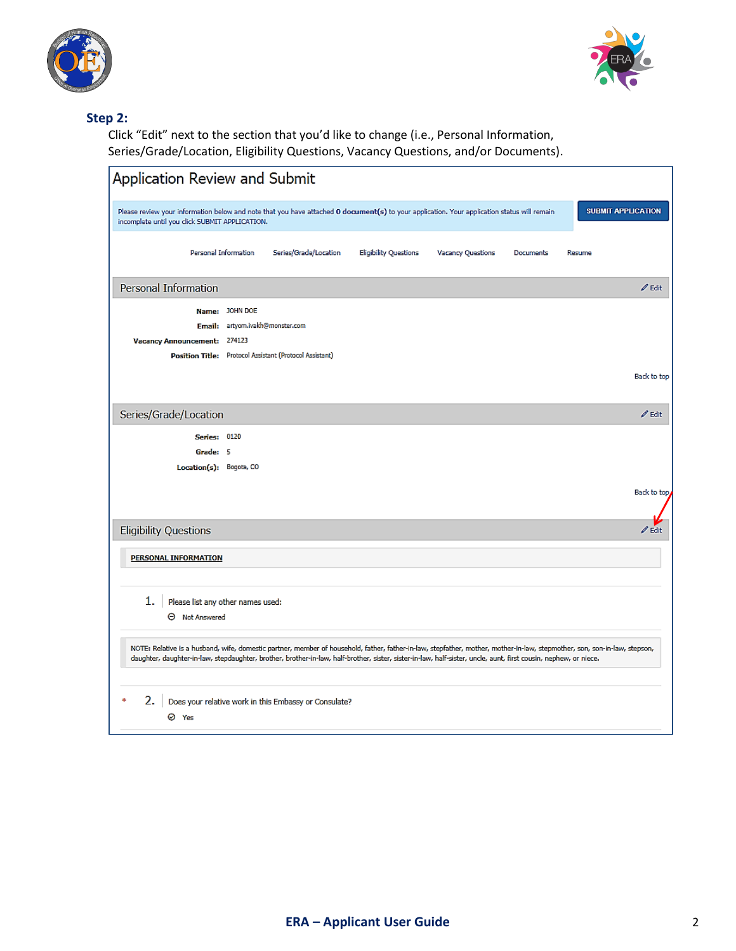



## **Step 2:**

Click "Edit" next to the section that you'd like to change (i.e., Personal Information, Series/Grade/Location, Eligibility Questions, Vacancy Questions, and/or Documents).

| Application Review and Submit                                                                                                                                                                                                                                                                                                                 |
|-----------------------------------------------------------------------------------------------------------------------------------------------------------------------------------------------------------------------------------------------------------------------------------------------------------------------------------------------|
| <b>SUBMIT APPLICATION</b><br>Please review your information below and note that you have attached 0 document(s) to your application. Your application status will remain<br>incomplete until you click SUBMIT APPLICATION.                                                                                                                    |
| Personal Information<br>Series/Grade/Location<br><b>Eligibility Questions</b><br><b>Vacancy Questions</b><br>Documents<br>Resume                                                                                                                                                                                                              |
| <b>Personal Information</b><br>$\mathscr{O}$ Edit                                                                                                                                                                                                                                                                                             |
| Name: JOHN DOE                                                                                                                                                                                                                                                                                                                                |
| Email: artyom.ivakh@monster.com                                                                                                                                                                                                                                                                                                               |
| 274123<br><b>Vacancy Announcement:</b>                                                                                                                                                                                                                                                                                                        |
| Position Title: Protocol Assistant (Protocol Assistant)                                                                                                                                                                                                                                                                                       |
| Back to top                                                                                                                                                                                                                                                                                                                                   |
| Series/Grade/Location<br>$\mathscr{O}$ Edit                                                                                                                                                                                                                                                                                                   |
| <b>Series: 0120</b>                                                                                                                                                                                                                                                                                                                           |
| Grade: 5                                                                                                                                                                                                                                                                                                                                      |
| Location(s): Bogota, CO                                                                                                                                                                                                                                                                                                                       |
| Back to top                                                                                                                                                                                                                                                                                                                                   |
| <b>Eligibility Questions</b><br>$\mathscr{O}$ Edit                                                                                                                                                                                                                                                                                            |
| PERSONAL INFORMATION                                                                                                                                                                                                                                                                                                                          |
| 1.<br>Please list any other names used:<br><b>O</b> Not Answered                                                                                                                                                                                                                                                                              |
| NOTE: Relative is a husband, wife, domestic partner, member of household, father, father-in-law, stepfather, mother, mother-in-law, stepmother, son, son-in-law, stepson,<br>daughter, daughter-in-law, stepdaughter, brother, brother-in-law, half-brother, sister, sister-in-law, half-sister, uncle, aunt, first cousin, nephew, or niece. |
| Does your relative work in this Embassy or Consulate?<br>2.<br>⊘ Yes                                                                                                                                                                                                                                                                          |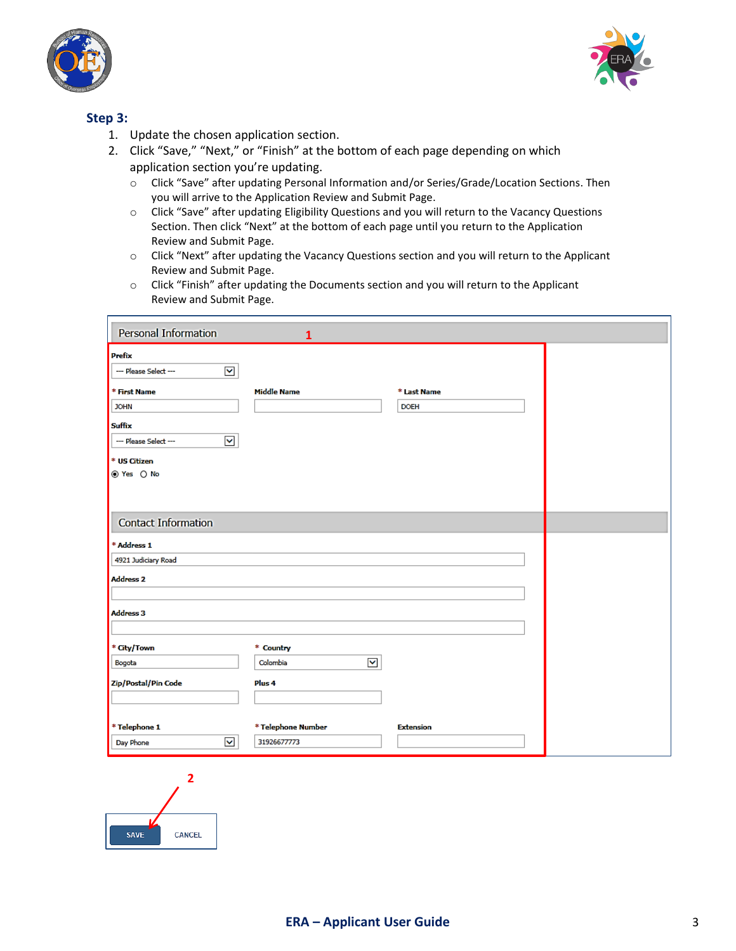



## **Step 3:**

- 1. Update the chosen application section.
- 2. Click "Save," "Next," or "Finish" at the bottom of each page depending on which application section you're updating.
	- o Click "Save" after updating Personal Information and/or Series/Grade/Location Sections. Then you will arrive to the Application Review and Submit Page.
	- o Click "Save" after updating Eligibility Questions and you will return to the Vacancy Questions Section. Then click "Next" at the bottom of each page until you return to the Application Review and Submit Page.
	- o Click "Next" after updating the Vacancy Questions section and you will return to the Applicant Review and Submit Page.
	- o Click "Finish" after updating the Documents section and you will return to the Applicant Review and Submit Page.

| Personal Information                                           | $\mathbf{1}$                      |                  |  |
|----------------------------------------------------------------|-----------------------------------|------------------|--|
| <b>Prefix</b>                                                  |                                   |                  |  |
| $\blacktriangledown$<br>--- Please Select ---                  |                                   |                  |  |
| * First Name                                                   | <b>Middle Name</b>                | * Last Name      |  |
| <b>JOHN</b>                                                    |                                   | <b>DOEH</b>      |  |
| <b>Suffix</b><br>$\blacktriangledown$<br>--- Please Select --- |                                   |                  |  |
|                                                                |                                   |                  |  |
| * US Citizen<br>⊙ Yes ○ No                                     |                                   |                  |  |
|                                                                |                                   |                  |  |
|                                                                |                                   |                  |  |
| <b>Contact Information</b>                                     |                                   |                  |  |
| * Address 1                                                    |                                   |                  |  |
| 4921 Judiciary Road                                            |                                   |                  |  |
| <b>Address 2</b>                                               |                                   |                  |  |
|                                                                |                                   |                  |  |
| <b>Address 3</b>                                               |                                   |                  |  |
| * City/Town                                                    | * Country                         |                  |  |
| Bogota                                                         | $\blacktriangledown$<br>Colombia  |                  |  |
| Zip/Postal/Pin Code                                            | Plus <sub>4</sub>                 |                  |  |
|                                                                |                                   |                  |  |
|                                                                |                                   |                  |  |
| * Telephone 1<br>$\checkmark$<br>Day Phone                     | * Telephone Number<br>31926677773 | <b>Extension</b> |  |
|                                                                |                                   |                  |  |

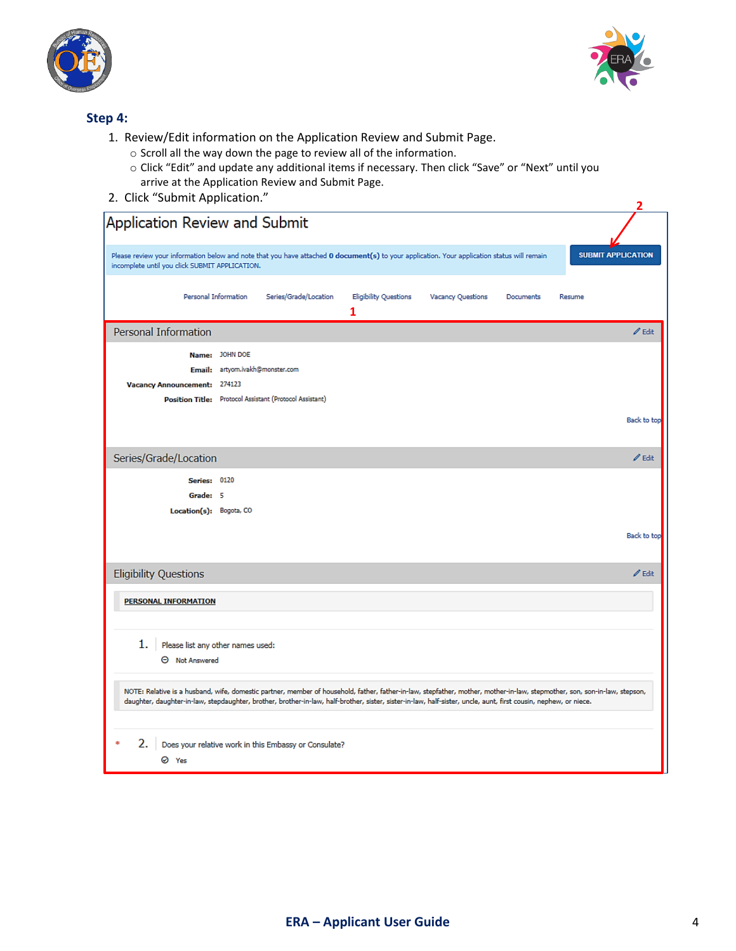



### **Step 4:**

- 1. Review/Edit information on the Application Review and Submit Page.
	- o Scroll all the way down the page to review all of the information.
	- o Click "Edit" and update any additional items if necessary. Then click "Save" or "Next" until you arrive at the Application Review and Submit Page.
- 2. Click "Submit Application." **<sup>2</sup>**

| Application Review and Submit                                                                                                                                                                                                                                                                                                                 |                                 |                                                         |                                   |                   |                  |        |                           |
|-----------------------------------------------------------------------------------------------------------------------------------------------------------------------------------------------------------------------------------------------------------------------------------------------------------------------------------------------|---------------------------------|---------------------------------------------------------|-----------------------------------|-------------------|------------------|--------|---------------------------|
| Please review your information below and note that you have attached 0 document(s) to your application. Your application status will remain<br>incomplete until you click SUBMIT APPLICATION.                                                                                                                                                 |                                 |                                                         |                                   |                   |                  |        | <b>SUBMIT APPLICATION</b> |
|                                                                                                                                                                                                                                                                                                                                               | Personal Information            | Series/Grade/Location                                   | <b>Eligibility Questions</b><br>1 | Vacancy Questions | <b>Documents</b> | Resume |                           |
| Personal Information                                                                                                                                                                                                                                                                                                                          |                                 |                                                         |                                   |                   |                  |        | $\mathscr{O}$ Edit        |
|                                                                                                                                                                                                                                                                                                                                               | Name: JOHN DOE                  |                                                         |                                   |                   |                  |        |                           |
|                                                                                                                                                                                                                                                                                                                                               | Email: artyom.ivakh@monster.com |                                                         |                                   |                   |                  |        |                           |
| Vacancy Announcement: 274123                                                                                                                                                                                                                                                                                                                  |                                 |                                                         |                                   |                   |                  |        |                           |
|                                                                                                                                                                                                                                                                                                                                               |                                 | Position Title: Protocol Assistant (Protocol Assistant) |                                   |                   |                  |        |                           |
|                                                                                                                                                                                                                                                                                                                                               |                                 |                                                         |                                   |                   |                  |        | Back to top               |
| Series/Grade/Location                                                                                                                                                                                                                                                                                                                         |                                 |                                                         |                                   |                   |                  |        | $\mathscr{O}$ Edit        |
| <b>Series: 0120</b>                                                                                                                                                                                                                                                                                                                           |                                 |                                                         |                                   |                   |                  |        |                           |
| Grade: 5                                                                                                                                                                                                                                                                                                                                      |                                 |                                                         |                                   |                   |                  |        |                           |
| Location(s): Bogota, CO                                                                                                                                                                                                                                                                                                                       |                                 |                                                         |                                   |                   |                  |        |                           |
|                                                                                                                                                                                                                                                                                                                                               |                                 |                                                         |                                   |                   |                  |        | Back to top               |
|                                                                                                                                                                                                                                                                                                                                               |                                 |                                                         |                                   |                   |                  |        |                           |
| <b>Eligibility Questions</b>                                                                                                                                                                                                                                                                                                                  |                                 |                                                         |                                   |                   |                  |        | $\mathscr{O}$ Edit        |
| <b>PERSONAL INFORMATION</b>                                                                                                                                                                                                                                                                                                                   |                                 |                                                         |                                   |                   |                  |        |                           |
| 1.<br>Please list any other names used:<br><b>O</b> Not Answered                                                                                                                                                                                                                                                                              |                                 |                                                         |                                   |                   |                  |        |                           |
| NOTE: Relative is a husband, wife, domestic partner, member of household, father, father-in-law, stepfather, mother, mother-in-law, stepmother, son, son-in-law, stepson,<br>daughter, daughter-in-law, stepdaughter, brother, brother-in-law, half-brother, sister, sister-in-law, half-sister, uncle, aunt, first cousin, nephew, or niece. |                                 |                                                         |                                   |                   |                  |        |                           |
| 2.<br>⊘ Yes                                                                                                                                                                                                                                                                                                                                   |                                 | Does your relative work in this Embassy or Consulate?   |                                   |                   |                  |        |                           |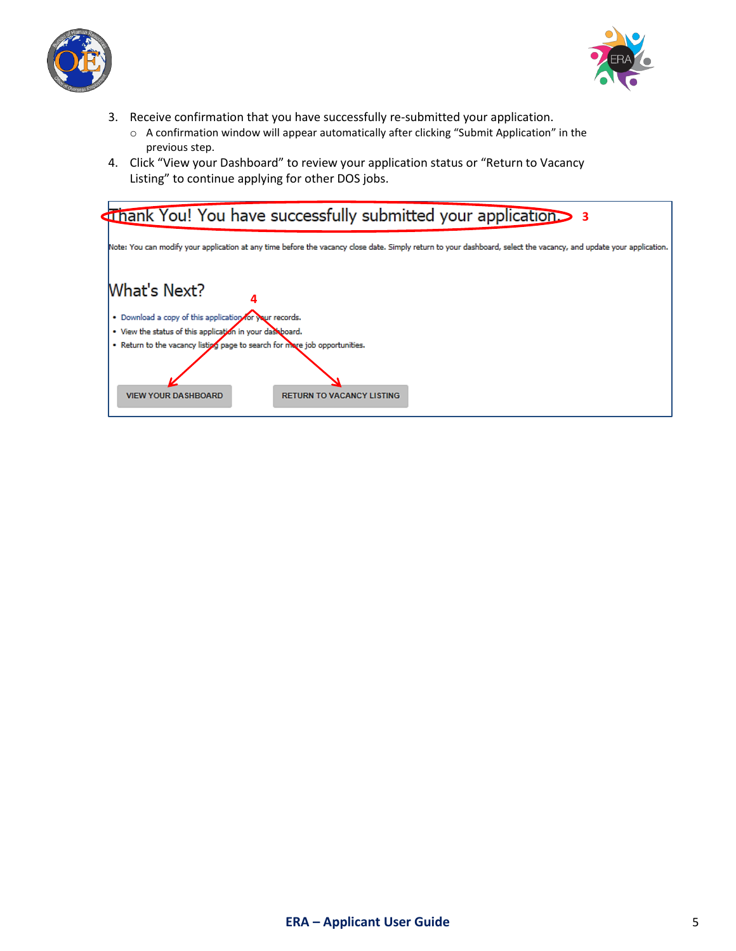



- 3. Receive confirmation that you have successfully re-submitted your application.
	- o A confirmation window will appear automatically after clicking "Submit Application" in the previous step.
- 4. Click "View your Dashboard" to review your application status or "Return to Vacancy Listing" to continue applying for other DOS jobs.

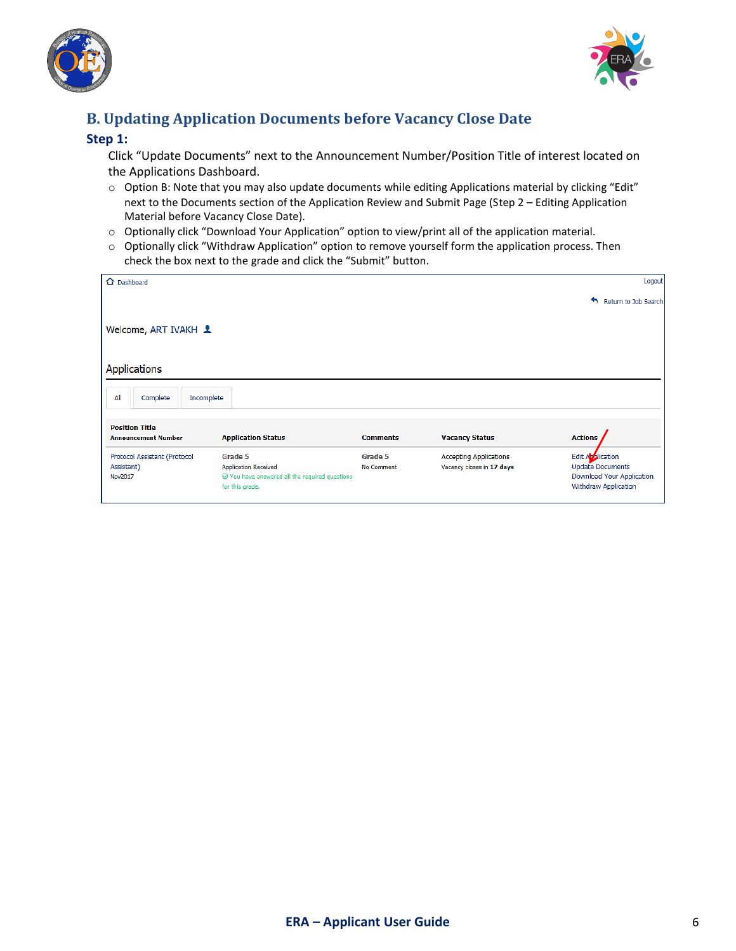



# **B. Updating Application Documents before Vacancy Close Date**

#### **Step 1:**

Click "Update Documents" next to the Announcement Number/Position Title of interest located on the Applications Dashboard.

- o Option B: Note that you may also update documents while editing Applications material by clicking "Edit" next to the Documents section of the Application Review and Submit Page (Step 2 – Editing Application Material before Vacancy Close Date).
- o Optionally click "Download Your Application" option to view/print all of the application material.
- o Optionally click "Withdraw Application" option to remove yourself form the application process. Then check the box next to the grade and click the "Submit" button.

| △ Dashboard                                           |                                                                                                                     |                       |                                                            | Logout                                                                                           |
|-------------------------------------------------------|---------------------------------------------------------------------------------------------------------------------|-----------------------|------------------------------------------------------------|--------------------------------------------------------------------------------------------------|
|                                                       |                                                                                                                     |                       |                                                            | €<br>Return to Job Search                                                                        |
| Welcome, ART IVAKH 1                                  |                                                                                                                     |                       |                                                            |                                                                                                  |
| <b>Applications</b>                                   |                                                                                                                     |                       |                                                            |                                                                                                  |
| All<br>Complete<br>Incomplete                         |                                                                                                                     |                       |                                                            |                                                                                                  |
| <b>Position Title</b><br><b>Announcement Number</b>   | <b>Application Status</b>                                                                                           | <b>Comments</b>       | <b>Vacancy Status</b>                                      | <b>Actions</b>                                                                                   |
| Protocol Assistant (Protocol<br>Assistant)<br>Nov2017 | Grade 5<br><b>Application Received</b><br>$\oslash$ You have answered all the required questions<br>for this grade. | Grade 5<br>No Comment | <b>Accepting Applications</b><br>Vacancy closes in 17 days | Edit Application<br><b>Update Documents</b><br>Download Your Application<br>Withdraw Application |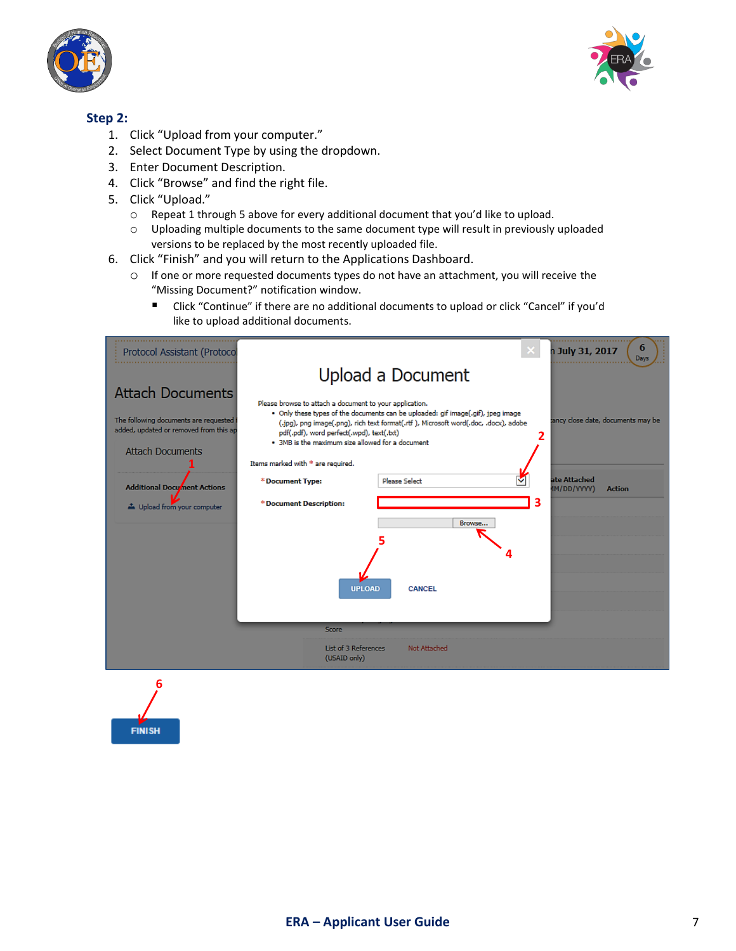



## **Step 2:**

- 1. Click "Upload from your computer."
- 2. Select Document Type by using the dropdown.
- 3. Enter Document Description.
- 4. Click "Browse" and find the right file.
- 5. Click "Upload."
	- o Repeat 1 through 5 above for every additional document that you'd like to upload.
	- o Uploading multiple documents to the same document type will result in previously uploaded versions to be replaced by the most recently uploaded file.
- 6. Click "Finish" and you will return to the Applications Dashboard.
	- o If one or more requested documents types do not have an attachment, you will receive the "Missing Document?" notification window.
		- Click "Continue" if there are no additional documents to upload or click "Cancel" if you'd like to upload additional documents.

| Protocol Assistant (Protocol                                                                                 | 6<br>×<br>n July 31, 2017<br>Days                                                                                                                                                                                                                                                                                                                                             |
|--------------------------------------------------------------------------------------------------------------|-------------------------------------------------------------------------------------------------------------------------------------------------------------------------------------------------------------------------------------------------------------------------------------------------------------------------------------------------------------------------------|
|                                                                                                              | Upload a Document                                                                                                                                                                                                                                                                                                                                                             |
| <b>Attach Documents</b><br>The following documents are requested i<br>added, updated or removed from this ap | Please browse to attach a document to your application.<br>. Only these types of the documents can be uploaded: gif image(.gif), jpeg image<br>ancy close date, documents may be<br>(.jpg), png image(.png), rich text format(.rtf ), Microsoft word(.doc, .docx), adobe<br>pdf(.pdf), word perfect(.wpd), text(.bd)<br>2<br>. 3MB is the maximum size allowed for a document |
| <b>Attach Documents</b>                                                                                      | Items marked with * are required.                                                                                                                                                                                                                                                                                                                                             |
| <b>Additional Document Actions</b>                                                                           | ate Attached<br><b>Please Select</b><br>*Document Type:<br>(IM/DD/YYYY<br><b>Action</b>                                                                                                                                                                                                                                                                                       |
| b Upload from your computer                                                                                  | 3<br>* Document Description:<br>Browse<br><b>UPLOAD</b><br><b>CANCEL</b>                                                                                                                                                                                                                                                                                                      |
|                                                                                                              | Score                                                                                                                                                                                                                                                                                                                                                                         |
|                                                                                                              | List of 3 References<br><b>Not Attached</b><br>(USAID only)                                                                                                                                                                                                                                                                                                                   |

**6FINISH**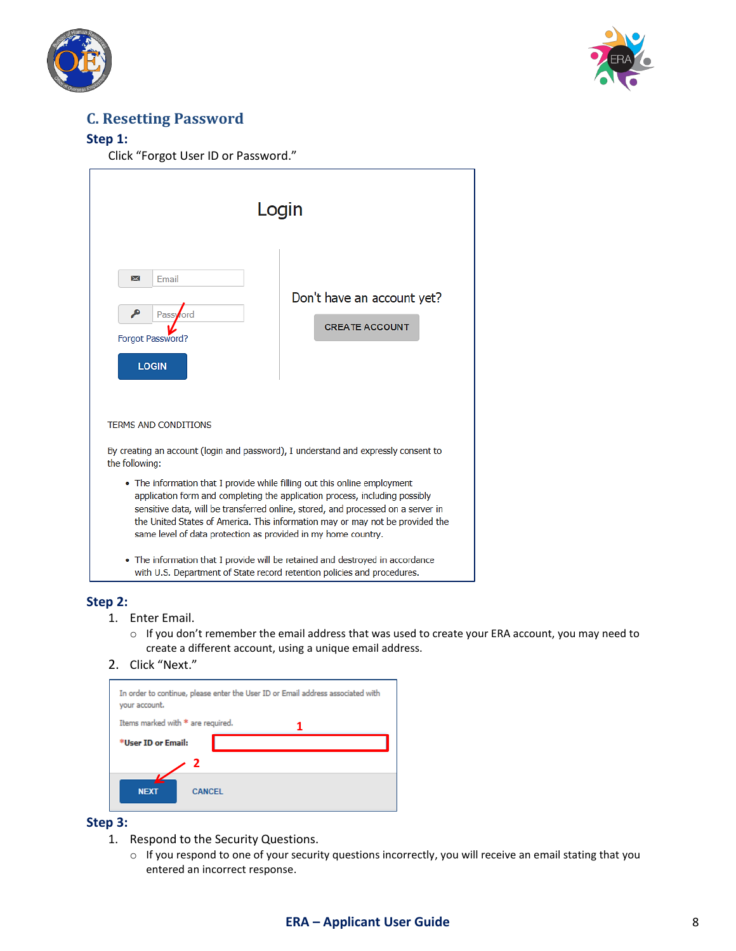



# **C. Resetting Password**

### **Step 1:**

Click "Forgot User ID or Password."

| Login                                                                                                                                                                                                                                                                                                                                                                                          |                                                     |  |  |
|------------------------------------------------------------------------------------------------------------------------------------------------------------------------------------------------------------------------------------------------------------------------------------------------------------------------------------------------------------------------------------------------|-----------------------------------------------------|--|--|
| Email<br>⋉<br>o<br>Password<br>Forgot Password?<br><b>LOGIN</b>                                                                                                                                                                                                                                                                                                                                | Don't have an account yet?<br><b>CREATE ACCOUNT</b> |  |  |
| <b>TERMS AND CONDITIONS</b><br>By creating an account (login and password), I understand and expressly consent to<br>the following:                                                                                                                                                                                                                                                            |                                                     |  |  |
| • The information that I provide while filling out this online employment<br>application form and completing the application process, including possibly<br>sensitive data, will be transferred online, stored, and processed on a server in<br>the United States of America. This information may or may not be provided the<br>same level of data protection as provided in my home country. |                                                     |  |  |
| • The information that I provide will be retained and destroyed in accordance<br>with U.S. Department of State record retention policies and procedures.                                                                                                                                                                                                                                       |                                                     |  |  |

#### **Step 2:**

- 1. Enter Email.
	- o If you don't remember the email address that was used to create your ERA account, you may need to create a different account, using a unique email address.
- 2. Click "Next."



### **Step 3:**

- 1. Respond to the Security Questions.
	- o If you respond to one of your security questions incorrectly, you will receive an email stating that you entered an incorrect response.

## **ERA – Applicant User Guide** 8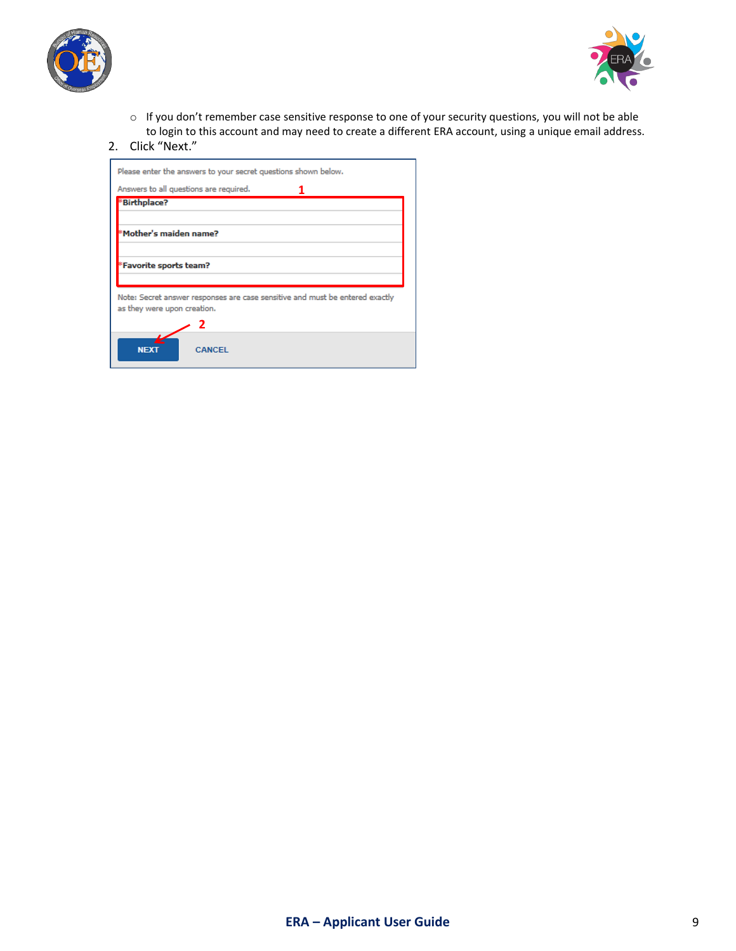



o If you don't remember case sensitive response to one of your security questions, you will not be able to login to this account and may need to create a different ERA account, using a unique email address.

#### 2. Click "Next."

| Please enter the answers to your secret questions shown below.               |
|------------------------------------------------------------------------------|
| Answers to all questions are required.                                       |
| *Birthplace?                                                                 |
|                                                                              |
| Mother's maiden name?                                                        |
|                                                                              |
| Favorite sports team?                                                        |
|                                                                              |
| Note: Secret answer responses are case sensitive and must be entered exactly |
| as they were upon creation.                                                  |
|                                                                              |
| CANCEL<br><b>NEXT</b>                                                        |
|                                                                              |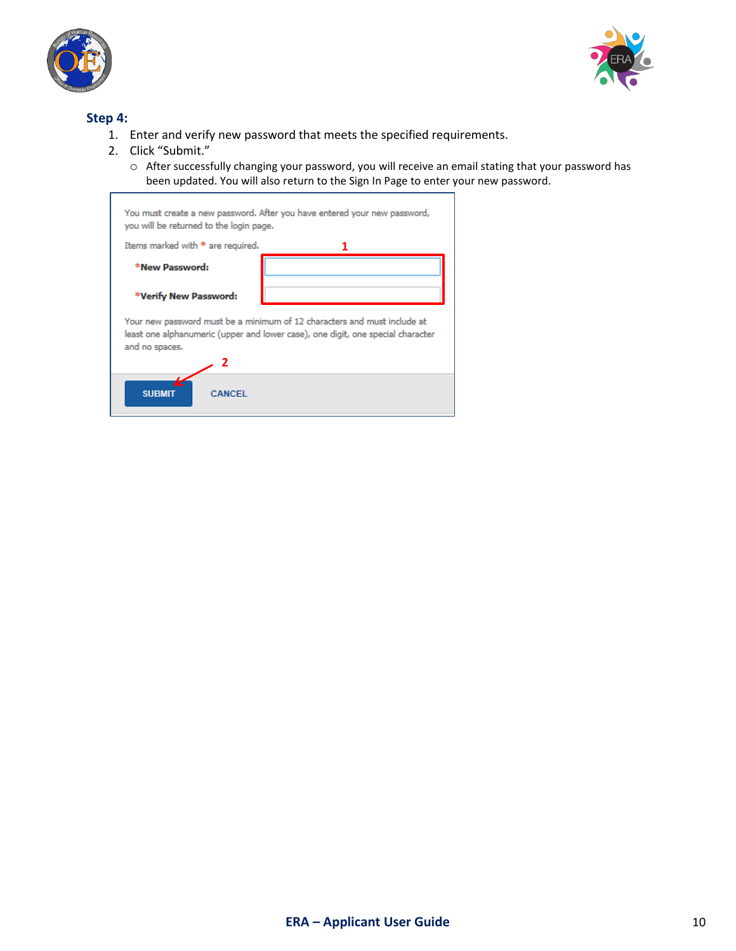



### **Step 4:**

- 1. Enter and verify new password that meets the specified requirements.
- 2. Click "Submit."
	- o After successfully changing your password, you will receive an email stating that your password has been updated. You will also return to the Sign In Page to enter your new password.

| You must create a new password. After you have entered your new password,<br>you will be returned to the login page.                                                          |  |  |  |  |
|-------------------------------------------------------------------------------------------------------------------------------------------------------------------------------|--|--|--|--|
| Items marked with * are required.                                                                                                                                             |  |  |  |  |
| *New Password:                                                                                                                                                                |  |  |  |  |
| *Verify New Password:                                                                                                                                                         |  |  |  |  |
| Your new password must be a minimum of 12 characters and must include at<br>least one alphanumeric (upper and lower case), one digit, one special character<br>and no spaces. |  |  |  |  |
|                                                                                                                                                                               |  |  |  |  |
| <b>SUBMIT</b><br><b>CANCEL</b>                                                                                                                                                |  |  |  |  |